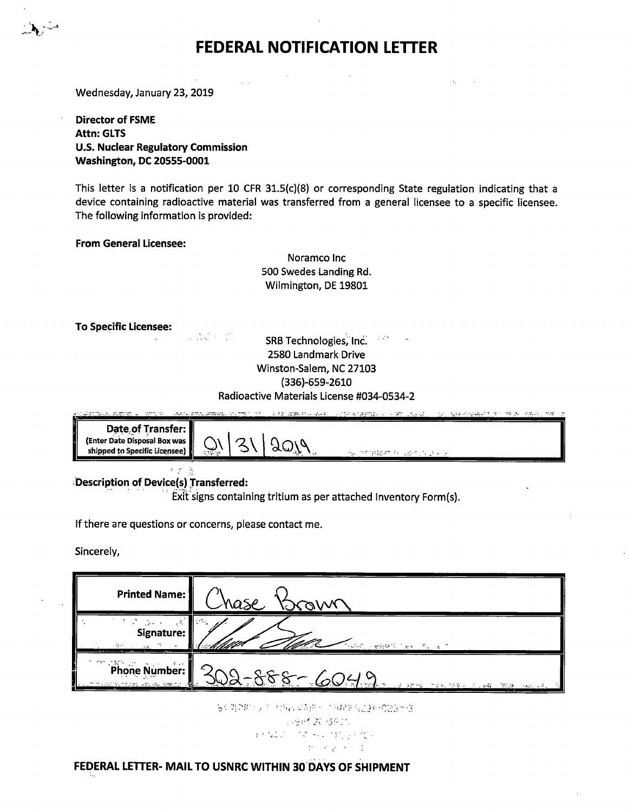## **FEDERAL NOTIFICATION LETTER**

 $\alpha_{\rm{c}}$ 

 $\sqrt{2}$ 

Wednesday, January 23, 2019

**Director of FSME Attn: GLTS U.S. Nuclear Regulatory Commission Washington, DC 20555-0001** 

This letter is a notification per 10 CFR 31.5(c)(8) or corresponding State regulation indicating that <sup>a</sup> device containing radioactive material was transferred from a general licensee to a specific licensee. The following information is provided:

**From General Licensee:** 

Noramco Inc 500 Swedes Landing Rd. Wilmington, DE 19801

**To Specific Licensee:** 

 $\label{eq:2} \mathcal{L}_{\text{max}} = \frac{1}{2} \sum_{i=1}^{N} \frac{1}{2} \sum_{i=1}^{N} \frac{1}{2} \sum_{i=1}^{N} \frac{1}{2} \sum_{i=1}^{N} \frac{1}{2} \sum_{i=1}^{N} \frac{1}{2} \sum_{i=1}^{N} \frac{1}{2} \sum_{i=1}^{N} \frac{1}{2} \sum_{i=1}^{N} \frac{1}{2} \sum_{i=1}^{N} \frac{1}{2} \sum_{i=1}^{N} \frac{1}{2} \sum_{i=1}^{N} \frac{1}{2} \sum_{i=1}$ SRB Technologies, Inc. 2580 Landmark Drive Winston-Salem, NC 27103 (336)-659-2610 Radioactive Materials License #034-0534-2

|                               | 医牙后突肌病 医感觉 医二甲酸 第二 病原病病的医病病的 化乙基乙二乙基乙二乙烯 经通过 医心包 人名英法伯斯特 人名英格兰人姓氏 |                        | ಿಗಳು ನಿಲ್ಲಿ ಆಡ್ಲಾನ್ನಿ ≕ಲಭ್ಯಾ<br><b>Controller of the state of the Second</b> |
|-------------------------------|-------------------------------------------------------------------|------------------------|------------------------------------------------------------------------------|
| Date of Transfer:             |                                                                   |                        |                                                                              |
| (Enter Date Disposal Box was  |                                                                   |                        |                                                                              |
| shipped to Specific Licensee) | يرتين                                                             | 网络小球树树脂酸树树 经可以提供证明 医心房 |                                                                              |

-~ *·:*  **iDescription of Device(s) Jransferred:** 

Exit signs containing tritium as per attached Inventory Form(s).

If there are questions or concerns, please contact me.

Sincerely,

| <b>Printed Name:</b>                                | hase                                                            |
|-----------------------------------------------------|-----------------------------------------------------------------|
| <b>Signature:</b><br>ster in the                    | <b>CONSTRUCTION OF ALL AT</b>                                   |
| Phone Number:<br>e travar munguay yayika ka shakrin | $-888-6049$<br>A STAR TIN TOOL CLARK TOOL<br>the control of the |

なく関の数十分の一切などはな感じ、1942年後ご連合の定義を改

*',·:::.--'· .. t: ·,\\_::.-·*   $\int_{\mathbb{R}^{3}}\frac{d^{2}f_{1}^{2}f_{2}^{2}}{2\pi i^{2}}\,dx^{\prime}=\int_{\mathbb{R}^{3}}\frac{d^{2}f_{1}^{2}}{2\pi i^{2}}\,dx^{\prime}dx^{\prime}+\int_{\mathbb{R}^{3}}\frac{d^{2}f_{2}^{2}}{2\pi i^{2}}\,dx^{\prime}dx^{\prime}dx^{\prime}.$  $20.0023333333$ 

**FEDERAL LETTER- MAIL TO USNRC WITHIN 30'DAVS OF SHIPMENT**